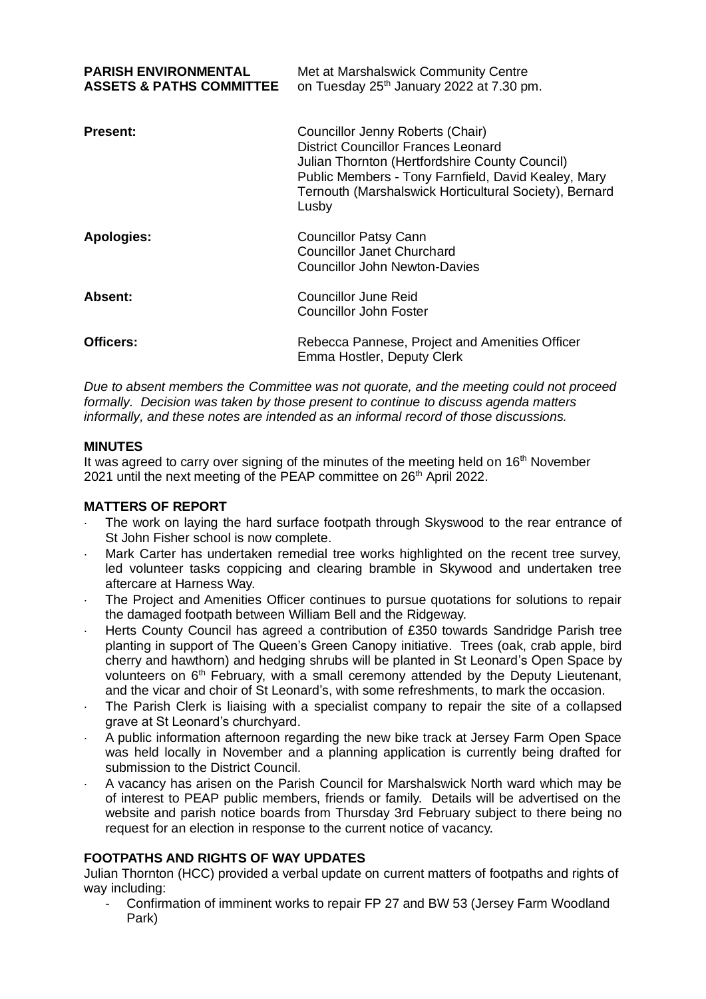| <b>PARISH ENVIRONMENTAL</b><br><b>ASSETS &amp; PATHS COMMITTEE</b> | Met at Marshalswick Community Centre<br>on Tuesday 25 <sup>th</sup> January 2022 at 7.30 pm.                                                                                                                                                               |
|--------------------------------------------------------------------|------------------------------------------------------------------------------------------------------------------------------------------------------------------------------------------------------------------------------------------------------------|
| <b>Present:</b>                                                    | Councillor Jenny Roberts (Chair)<br><b>District Councillor Frances Leonard</b><br>Julian Thornton (Hertfordshire County Council)<br>Public Members - Tony Farnfield, David Kealey, Mary<br>Ternouth (Marshalswick Horticultural Society), Bernard<br>Lusby |
| <b>Apologies:</b>                                                  | <b>Councillor Patsy Cann</b><br><b>Councillor Janet Churchard</b><br><b>Councillor John Newton-Davies</b>                                                                                                                                                  |
| Absent:                                                            | Councillor June Reid<br><b>Councillor John Foster</b>                                                                                                                                                                                                      |
| Officers:                                                          | Rebecca Pannese, Project and Amenities Officer<br>Emma Hostler, Deputy Clerk                                                                                                                                                                               |

*Due to absent members the Committee was not quorate, and the meeting could not proceed formally. Decision was taken by those present to continue to discuss agenda matters informally, and these notes are intended as an informal record of those discussions.* 

# **MINUTES**

It was agreed to carry over signing of the minutes of the meeting held on 16<sup>th</sup> November 2021 until the next meeting of the PEAP committee on 26<sup>th</sup> April 2022.

## **MATTERS OF REPORT**

- The work on laying the hard surface footpath through Skyswood to the rear entrance of St John Fisher school is now complete.
- Mark Carter has undertaken remedial tree works highlighted on the recent tree survey, led volunteer tasks coppicing and clearing bramble in Skywood and undertaken tree aftercare at Harness Way.
- The Project and Amenities Officer continues to pursue quotations for solutions to repair the damaged footpath between William Bell and the Ridgeway.
- Herts County Council has agreed a contribution of £350 towards Sandridge Parish tree planting in support of The Queen's Green Canopy initiative. Trees (oak, crab apple, bird cherry and hawthorn) and hedging shrubs will be planted in St Leonard's Open Space by volunteers on  $6<sup>th</sup>$  February, with a small ceremony attended by the Deputy Lieutenant, and the vicar and choir of St Leonard's, with some refreshments, to mark the occasion.
- The Parish Clerk is liaising with a specialist company to repair the site of a collapsed grave at St Leonard's churchyard.
- A public information afternoon regarding the new bike track at Jersey Farm Open Space was held locally in November and a planning application is currently being drafted for submission to the District Council.
- A vacancy has arisen on the Parish Council for Marshalswick North ward which may be of interest to PEAP public members, friends or family. Details will be advertised on the website and parish notice boards from Thursday 3rd February subject to there being no request for an election in response to the current notice of vacancy.

## **FOOTPATHS AND RIGHTS OF WAY UPDATES**

Julian Thornton (HCC) provided a verbal update on current matters of footpaths and rights of way including:

Confirmation of imminent works to repair FP 27 and BW 53 (Jersey Farm Woodland Park)